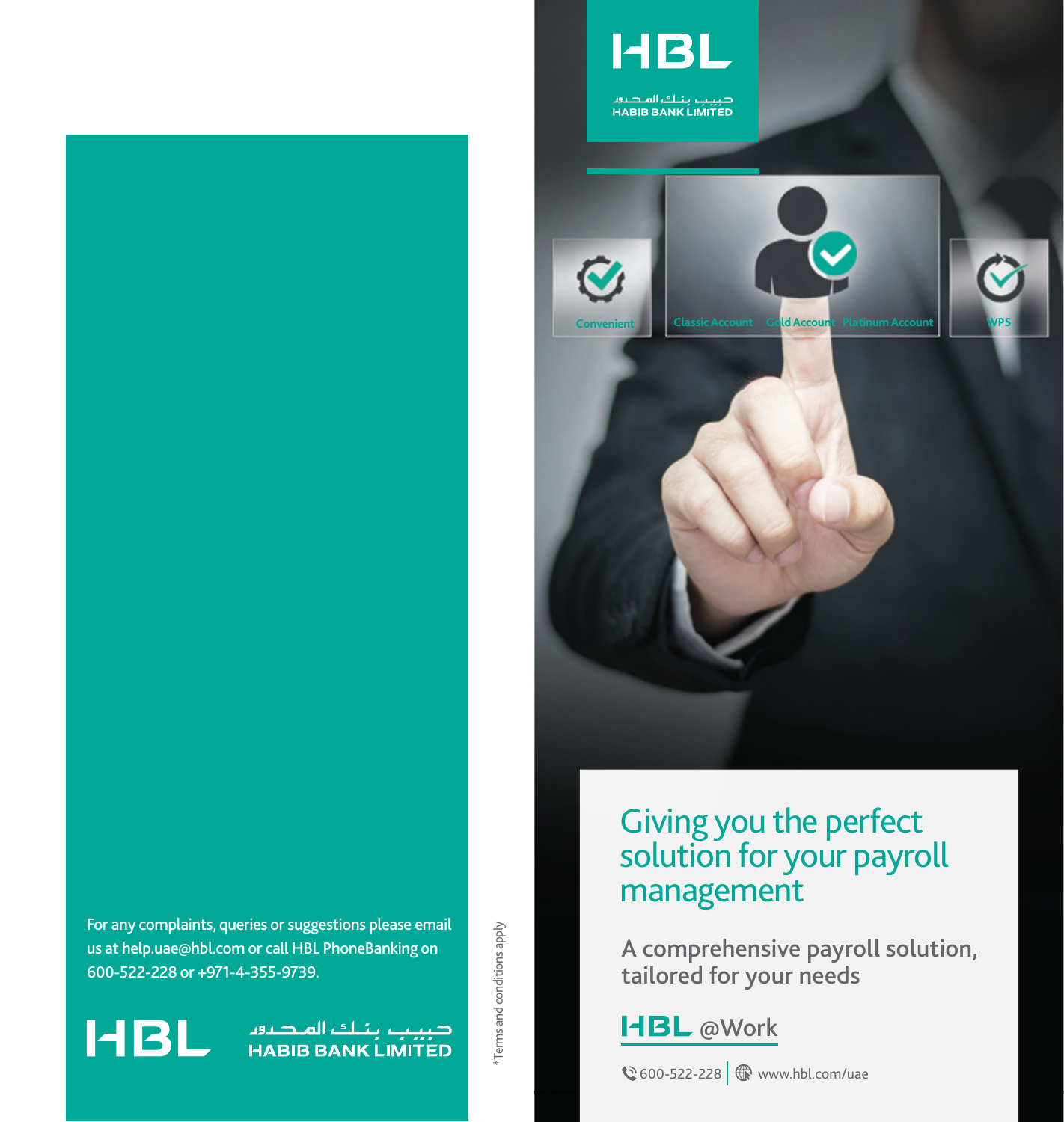

صبيب بنـك المـصـرور<br>HABIB BANK LIMITED





صبيب بناك الملصافا<br>HABIB BANK LIMITED



# Giving you the perfect solution for your payroll management

A comprehensive payroll solution, tailored for your needs

**HBL** @Work

**€** 600-522-228  $\oplus$  www.hbl.com/uae